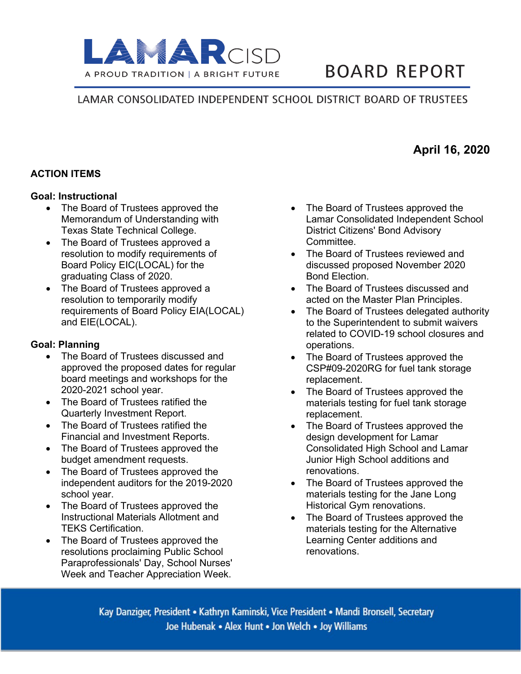

# **BOARD REPORT**

## LAMAR CONSOLIDATED INDEPENDENT SCHOOL DISTRICT BOARD OF TRUSTEES

## **ACTION ITEMS**

#### **Goal: Instructional**

- The Board of Trustees approved the Memorandum of Understanding with Texas State Technical College.
- The Board of Trustees approved a resolution to modify requirements of Board Policy EIC(LOCAL) for the graduating Class of 2020.
- The Board of Trustees approved a resolution to temporarily modify requirements of Board Policy EIA(LOCAL) and EIE(LOCAL).

#### **Goal: Planning**

- The Board of Trustees discussed and approved the proposed dates for regular board meetings and workshops for the 2020-2021 school year.
- The Board of Trustees ratified the Quarterly Investment Report.
- The Board of Trustees ratified the Financial and Investment Reports.
- The Board of Trustees approved the budget amendment requests.
- The Board of Trustees approved the independent auditors for the 2019-2020 school year.
- The Board of Trustees approved the Instructional Materials Allotment and TEKS Certification.
- The Board of Trustees approved the resolutions proclaiming Public School Paraprofessionals' Day, School Nurses' Week and Teacher Appreciation Week.
- The Board of Trustees approved the Lamar Consolidated Independent School District Citizens' Bond Advisory **Committee.**
- The Board of Trustees reviewed and discussed proposed November 2020 Bond Election.
- The Board of Trustees discussed and acted on the Master Plan Principles.
- The Board of Trustees delegated authority to the Superintendent to submit waivers related to COVID-19 school closures and operations.
- The Board of Trustees approved the CSP#09-2020RG for fuel tank storage replacement.
- The Board of Trustees approved the materials testing for fuel tank storage replacement.
- The Board of Trustees approved the design development for Lamar Consolidated High School and Lamar Junior High School additions and renovations.
- The Board of Trustees approved the materials testing for the Jane Long Historical Gym renovations.
- The Board of Trustees approved the materials testing for the Alternative Learning Center additions and renovations.

Kay Danziger, President • Kathryn Kaminski, Vice President • Mandi Bronsell, Secretary Joe Hubenak • Alex Hunt • Jon Welch • Joy Williams

# **April 16, 2020**